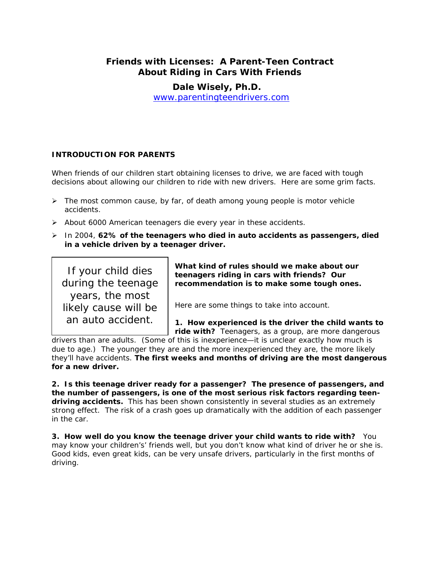# **Friends with Licenses: A Parent-Teen Contract About Riding in Cars With Friends**

**Dale Wisely, Ph.D.**  [www.parentingteendrivers.com](http://www.parentingteendrivers.com/)

## **INTRODUCTION FOR PARENTS**

When friends of our children start obtaining licenses to drive, we are faced with tough decisions about allowing our children to ride with new drivers. Here are some grim facts.

- $\triangleright$  The most common cause, by far, of death among young people is motor vehicle accidents.
- $\triangleright$  About 6000 American teenagers die every year in these accidents.
- ¾ In 2004, **62% of the teenagers who died in auto accidents as passengers, died in a vehicle driven by a teenager driver.**

*If your child dies during the teenage years, the most likely cause will be an auto accident*.

*What kind of rules should we make about our teenagers riding in cars with friends?* **Our recommendation is to make some tough ones.** 

Here are some things to take into account.

**1. How experienced is the driver the child wants to** 

**ride with?** Teenagers, as a group, are more dangerous drivers than are adults. (Some of this is inexperience—it is unclear exactly how much is

due to age.) The younger they are and the more inexperienced they are, the more likely they'll have accidents. **The first weeks and months of driving are the most dangerous for a new driver.** 

**2. Is this teenage driver ready for a passenger?** *The presence of passengers, and the number of passengers, is one of the most serious risk factors regarding teendriving accidents*. This has been shown consistently in several studies as an extremely strong effect. The risk of a crash goes up dramatically with the addition of each passenger in the car.

**3. How well do you know the teenage driver your child wants to ride with?** You may know your children's' friends well, but you don't know what kind of driver he or she is. Good kids, even great kids, can be very unsafe drivers, particularly in the first months of driving.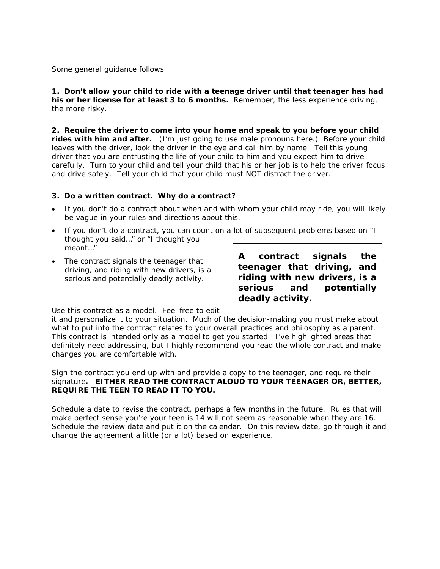Some general guidance follows.

**1. Don't allow your child to ride with a teenage driver until that teenager has had his or her license for** *at least* **3 to 6 months.** Remember, the less experience driving, the more risky.

**2. Require the driver to come into your home and speak to you before your child rides with him and after.** (I'm just going to use male pronouns here.) Before your child leaves with the driver, look the driver in the eye and call him by name. Tell this young driver that you are entrusting the life of your child to him and you expect him to drive carefully. Turn to your child and tell your child that his or her job is to help the driver focus and drive safely. Tell your child that your child must NOT distract the driver.

#### *3. Do a written contract. Why do a contract?*

- If you don't do a contract about when and with whom your child may ride, you will likely be vague in your rules and directions about this.
- If you don't do a contract, you can count on a lot of subsequent problems based on "I thought you said…" or "I thought you meant…"
- The contract signals the teenager that driving, and riding with new drivers, is a serious and potentially deadly activity.

**A contract signals the teenager that driving, and riding with new drivers, is a serious and potentially deadly activity.** 

Use this contract as a model. Feel free to edit

it and personalize it to your situation. Much of the decision-making you must make about what to put into the contract relates to your overall practices and philosophy as a parent. This contract is intended only as a model to get you started. I've highlighted areas that definitely need addressing, but I highly recommend you read the whole contract and make changes you are comfortable with.

Sign the contract you end up with and provide a copy to the teenager, and require their signature**. EITHER READ THE CONTRACT ALOUD TO YOUR TEENAGER OR, BETTER, REQUIRE THE TEEN TO READ IT TO YOU.** 

Schedule a date to revise the contract, perhaps a few months in the future. Rules that will make perfect sense you're your teen is 14 will not seem as reasonable when they are 16. Schedule the review date and put it on the calendar. On this review date, go through it and change the agreement a little (or a lot) based on experience.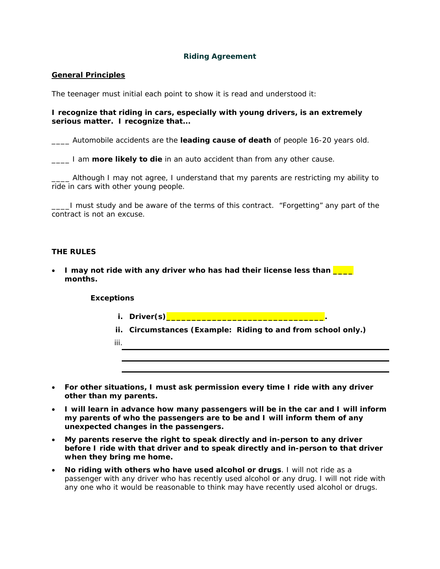### **Riding Agreement**

#### **General Principles**

The teenager must initial each point to show it is read and understood it:

#### **I recognize that riding in cars, especially with young drivers, is an extremely serious matter. I recognize that...**

\_\_\_\_ Automobile accidents are the **leading cause of death** of people 16-20 years old.

**The light of the in an auto accident than from any other cause.** 

\_\_\_\_ Although I may not agree, I understand that my parents are restricting my ability to ride in cars with other young people.

**\_\_\_\_I** must study and be aware of the terms of this contract. "Forgetting" any part of the contract is not an excuse.

#### **THE RULES**

• I may not ride with any driver who has had their license less than **Fig. months.** 

#### **Exceptions**

iii.

- **i. Driver(s)\_\_\_\_\_\_\_\_\_\_\_\_\_\_\_\_\_\_\_\_\_\_\_\_\_\_\_\_\_\_\_.**
- **ii. Circumstances (***Example: Riding to and from school only.***)**
- **For other situations, I must ask permission every time I ride with any driver other than my parents.**
- **I will learn in advance how many passengers will be in the car and I will inform my parents of who the passengers are to be and I will inform them of any unexpected changes in the passengers.**
- **My parents reserve the right to speak directly and in-person to any driver before I ride with that driver and to speak directly and in-person to that driver when they bring me home.**
- **No riding with others who have used alcohol or drugs**. I will not ride as a passenger with any driver who has recently used alcohol or any drug. I will not ride with any one who it would be reasonable to think may have recently used alcohol or drugs.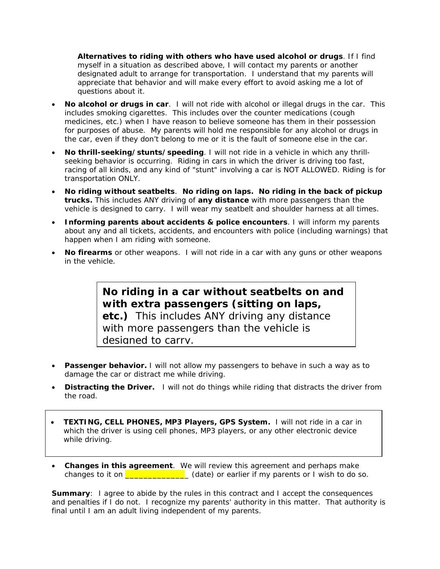**Alternatives to riding with others who have used alcohol or drugs**. If I find myself in a situation as described above, I will contact my parents or another designated adult to arrange for transportation. I understand that my parents will appreciate that behavior and will make every effort to avoid asking me a lot of questions about it.

- **No alcohol or drugs in car**. I will not ride with alcohol or illegal drugs in the car. This includes smoking cigarettes. This includes over the counter medications (cough medicines, etc.) when I have reason to believe someone has them in their possession for purposes of abuse. My parents will hold me responsible for any alcohol or drugs in the car, even if they don't belong to me or it is the fault of someone else in the car.
- **No thrill-seeking/stunts/speeding**. I will not ride in a vehicle in which any thrillseeking behavior is occurring. Riding in cars in which the driver is driving too fast, racing of all kinds, and any kind of "stunt" involving a car is NOT ALLOWED. Riding is for transportation ONLY.
- **No riding without seatbelts**. **No riding on laps. No riding in the back of pickup trucks.** This includes ANY driving of **any distance** with more passengers than the vehicle is designed to carry. I will wear my seatbelt and shoulder harness at all times.
- **Informing parents about accidents & police encounters**. I will inform my parents about any and all tickets, accidents, and encounters with police (including warnings) that happen when I am riding with someone.
- **No firearms** or other weapons. I will not ride in a car with any guns or other weapons in the vehicle.

**No riding in a car without seatbelts on and with extra passengers (sitting on laps, etc.)** This includes ANY driving any distance with more passengers than the vehicle is designed to carry.

- **Passenger behavior.** I will not allow my passengers to behave in such a way as to damage the car or distract me while driving.
- **Distracting the Driver.** I will not do things while riding that distracts the driver from the road.
- **TEXTING, CELL PHONES, MP3 Players, GPS System.** I will not ride in a car in which the driver is using cell phones, MP3 players, or any other electronic device while driving.
- **Changes in this agreement**. We will review this agreement and perhaps make changes to it on  $\sqrt{2\pi}$  (date) or earlier if my parents or I wish to do so.

**Summary:** I agree to abide by the rules in this contract and I accept the consequences and penalties if I do not. I recognize my parents' authority in this matter. That authority is final until I am an adult living independent of my parents.